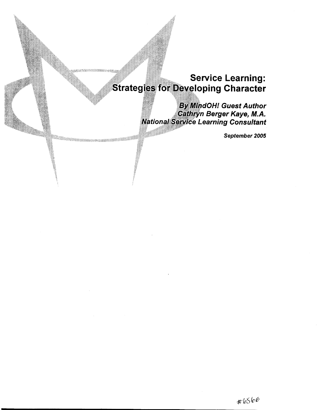# **Service Learning: Strategies for Developing Character**

1010au - Amerika

**By MindOH! Guest Author** Cathryn Berger Kaye, M.A.<br>National Service Learning Consultant

September 2005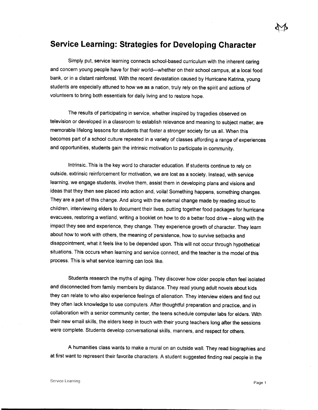## **Service Learning: Strategies for Developing Character**

Simply put, service learning connects school-based curriculum with the inherent caring and concern young people have for their world--whether on their school campus, at a local food bank, or in a distant rainforest. With the recent devastation caused by Hurricane Katrina, young students are especially attuned to how we as a nation, truly rely on the spirit and actions of volunteers to bring both essentials for daily living and to restore hope.

The results of participating in service, whether inspired by tragedies observed on television or developed in a classroom to establish relevance and meaning to subject matter, are memorable lifelong lessons for students that foster a stronger society for us all. When this becomes part of a school culture repeated in a variety of classes affording a range of experiences and opportunities, students gain the intrinsic motivation to participate in community.

Intrinsic. This is the key word to character education. If students continue to rely on outside, extrinsic reinforcement for motivation, we are lost as a society. Instead, with service learning, we engage students, involve them, assist them in developing plans and visions and ideas that they then see placed into action and, voila! Something happens, something changes. They are a part of this change. And along with the external change made by reading aloud to children, interviewing elders to document their lives, putting together food packages for hurricane evacuees, restoring a wetland, writing a booklet on how to do a better food drive- along with the impact they see and experience, they change. They experience growth of character. They learn about how to work with others, the meaning of persistence, how to survive setbacks and disappointment, what it feels like to be depended upon. This will not occur through hypothetical situations. This occurs when learning and service connect, and the teacher is the model of this process. This is what service learning can look like.

Students research the myths of aging. They discover how older people often feel isolated and disconnected from family members by distance. They read young adult novels about kids they can relate to who also experience feelings of alienation. They interview elders and find out they often lack knowledge to use computers. After thoughtful preparation and practice, and in collaboration with a senior community center, the teens schedule computer labs for elders. With their new email skills, the elders keep in touch with their young teachers long after the sessions were complete. Students develop conversational skills, manners, and respect for others.

A humanities class wants to make a mural on an outside wall. They read biographies and at first want to represent their favorite characters. A student suggested finding real people in the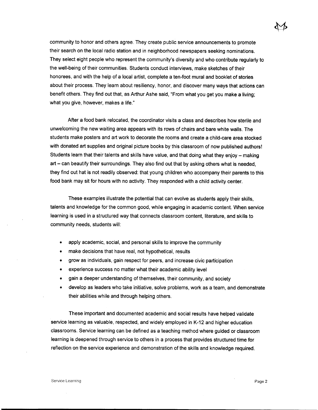community to honor and others agree. They create public service announcements to promote their search on the local radio station and in neighborhood newspapers seeking nominations. They select eight people who represent the community's diversity and who contribute regularly to the well-being of their communities. Students conduct interviews, make sketches of their honorees, and with the help of a local artist, complete a ten-foot mural and booklet of stories about their process. They learn about resiliency, honor, and discover many ways that actions can benefit others. They find out that, as Arthur Ashe said, "From what you get you make a living; what you give, however, makes a life."

After a food bank relocated, the coordinator visits a class and describes how sterile and unwelcoming the new waiting area appears with its rows of chairs and bare white walls. The students make posters and art work to decorate the rooms and create a child-care area stocked with donated art supplies and original picture books by this classroom of now published authors! Students learn that their talents and skills have value, and that doing what they enjoy - making art - can beautify their surroundings. They also find out that by asking others what is needed, they find out hat is not readily observed: that young children who accompany their parents to this food bank may sit for hours with no activity. They responded with a child activity center.

These examples illustrate the potential that can evolve as students apply their skills, talents and knowledge for the common good, while engaging in academic content. When service learning is used in a structured way that connects classroom content, literature, and skills to community needs, students will:

- apply academic, social, and personal skills to improve the community
- make decisions that have real, not hypothetical, results
- grow as individuals, gain respect for peers, and increase civic participation
- experience success no matter what their academic ability level
- gain a deeper understanding of themselves, their community, and society
- develop as leaders who take initiative, solve problems, work as a team, and demonstrate their abilities while and through helping others.

These important and documented academic and social results have helped validate service learning as valuable, respected, and widely employed in K-12 and higher education classrooms. Service learning can be defined as a teaching method where guided or classroom learning is deepened through service to others in a process that provides structured time for reflection on the service experience and demonstration of the skills and knowledge required.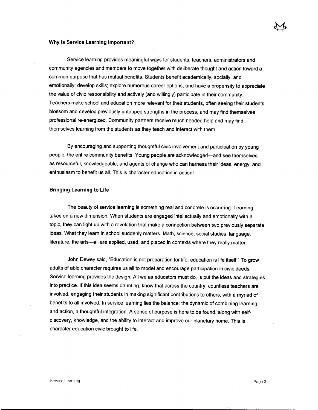#### **Why is Service Learning Important?**

Service learning provides meaningful ways for students, teachers, administrators and community agencies and members to move together with deliberate thought and action toward a common purpose that has mutual benefits. Students benefit academically, socially, and emotionally; develop skills; explore numerous career options; and have a propensity to appreciate the value of civic responsibility and actively (and willingly) participate in their community. Teachers make school and education more relevant for their students, often seeing their students blossom and develop previously untapped strengths in the process, and may find themselves professional re-energized. Community partners receive much needed help and may find themselves learning from the students as they teach and interact with them.

By encouraging and supporting thoughtful civic involvement and participation by young people, the entire community benefits. Young people are acknowledged-and see themselvesas resourceful, knowledgeable, and agents of change who can harness their ideas, energy, and enthusiasm to benefit us all. This is character education in action!

#### **Bringing Learning to Life**

The beauty of service learning is something real and concrete is occurring. Learning takes on a new dimension. When students are engaged intellectually and emotionally with a topic, they can light up with a revelation that make a connection between two previously separate ideas. What they learn in school suddenly matters. Math, science, social studies, language, literature, the arts-all are applied, used, and placed in contexts where they really matter.

John Dewey said, "Education is not preparation for life; education is life itself." To grow adults of able character requires us all to model and encourage participation in civic deeds. Service learning provides the design. All we as educators must do, is put the ideas and strategies into practice. If this idea seems daunting, know that across the country, countless teachers are involved, engaging their students in making significant contributions to others, with a myriad of benefits to all involved. In service learning lies the balance: the dynamic of combining learning and action, a thoughtful integration. A sense of purpose is here to be found, along with selfdiscovery, knowledge, and the ability to interact and improve our planetary home. This is character education civic brought to life.